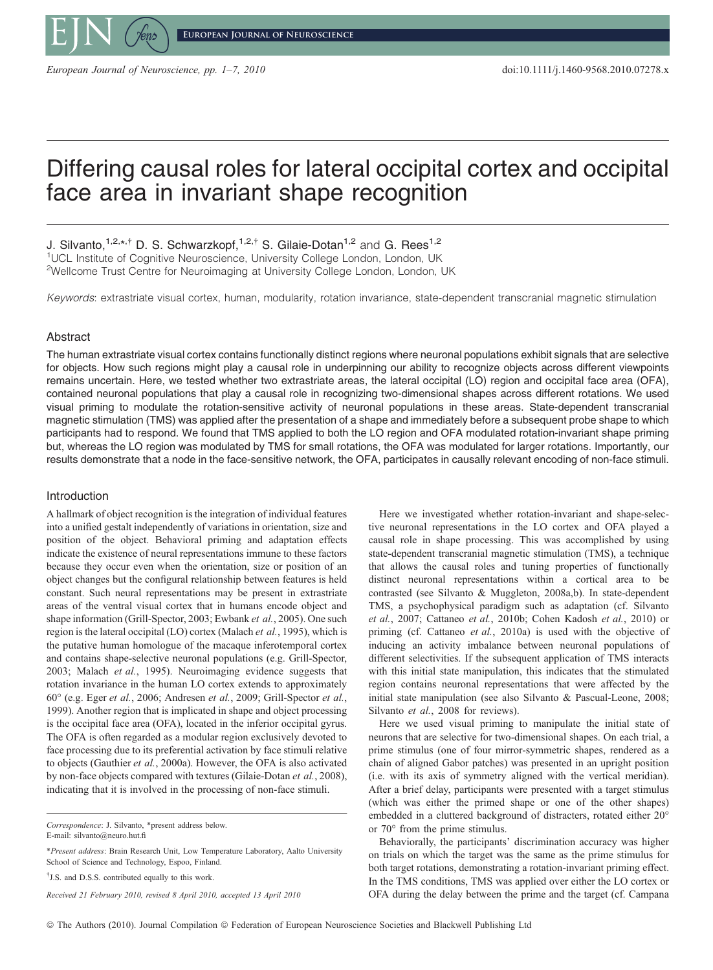

**European Journal of Neuroscience**

European Journal of Neuroscience, pp. 1–7, 2010 doi:10.1111/j.1460-9568.2010.07278.x

# Differing causal roles for lateral occipital cortex and occipital face area in invariant shape recognition

J. Silvanto,<sup>1,2,\*,†</sup> D. S. Schwarzkopf,<sup>1,2,†</sup> S. Gilaie-Dotan<sup>1,2</sup> and G. Rees<sup>1,2</sup> <sup>1</sup>UCL Institute of Cognitive Neuroscience, University College London, London, UK <sup>2</sup>Wellcome Trust Centre for Neuroimaging at University College London, London, UK

Keywords: extrastriate visual cortex, human, modularity, rotation invariance, state-dependent transcranial magnetic stimulation

# Abstract

The human extrastriate visual cortex contains functionally distinct regions where neuronal populations exhibit signals that are selective for objects. How such regions might play a causal role in underpinning our ability to recognize objects across different viewpoints remains uncertain. Here, we tested whether two extrastriate areas, the lateral occipital (LO) region and occipital face area (OFA), contained neuronal populations that play a causal role in recognizing two-dimensional shapes across different rotations. We used visual priming to modulate the rotation-sensitive activity of neuronal populations in these areas. State-dependent transcranial magnetic stimulation (TMS) was applied after the presentation of a shape and immediately before a subsequent probe shape to which participants had to respond. We found that TMS applied to both the LO region and OFA modulated rotation-invariant shape priming but, whereas the LO region was modulated by TMS for small rotations, the OFA was modulated for larger rotations. Importantly, our results demonstrate that a node in the face-sensitive network, the OFA, participates in causally relevant encoding of non-face stimuli.

# Introduction

A hallmark of object recognition is the integration of individual features into a unified gestalt independently of variations in orientation, size and position of the object. Behavioral priming and adaptation effects indicate the existence of neural representations immune to these factors because they occur even when the orientation, size or position of an object changes but the configural relationship between features is held constant. Such neural representations may be present in extrastriate areas of the ventral visual cortex that in humans encode object and shape information (Grill-Spector, 2003; Ewbank et al., 2005). One such region is the lateral occipital (LO) cortex (Malach et al., 1995), which is the putative human homologue of the macaque inferotemporal cortex and contains shape-selective neuronal populations (e.g. Grill-Spector, 2003; Malach et al., 1995). Neuroimaging evidence suggests that rotation invariance in the human LO cortex extends to approximately 60° (e.g. Eger et al., 2006; Andresen et al., 2009; Grill-Spector et al., 1999). Another region that is implicated in shape and object processing is the occipital face area (OFA), located in the inferior occipital gyrus. The OFA is often regarded as a modular region exclusively devoted to face processing due to its preferential activation by face stimuli relative to objects (Gauthier et al., 2000a). However, the OFA is also activated by non-face objects compared with textures (Gilaie-Dotan et al., 2008), indicating that it is involved in the processing of non-face stimuli.

Received 21 February 2010, revised 8 April 2010, accepted 13 April 2010

Here we investigated whether rotation-invariant and shape-selective neuronal representations in the LO cortex and OFA played a causal role in shape processing. This was accomplished by using state-dependent transcranial magnetic stimulation (TMS), a technique that allows the causal roles and tuning properties of functionally distinct neuronal representations within a cortical area to be contrasted (see Silvanto & Muggleton, 2008a,b). In state-dependent TMS, a psychophysical paradigm such as adaptation (cf. Silvanto et al., 2007; Cattaneo et al., 2010b; Cohen Kadosh et al., 2010) or priming (cf. Cattaneo et al., 2010a) is used with the objective of inducing an activity imbalance between neuronal populations of different selectivities. If the subsequent application of TMS interacts with this initial state manipulation, this indicates that the stimulated region contains neuronal representations that were affected by the initial state manipulation (see also Silvanto & Pascual-Leone, 2008; Silvanto et al., 2008 for reviews).

Here we used visual priming to manipulate the initial state of neurons that are selective for two-dimensional shapes. On each trial, a prime stimulus (one of four mirror-symmetric shapes, rendered as a chain of aligned Gabor patches) was presented in an upright position (i.e. with its axis of symmetry aligned with the vertical meridian). After a brief delay, participants were presented with a target stimulus (which was either the primed shape or one of the other shapes) embedded in a cluttered background of distracters, rotated either 20° or  $70^{\circ}$  from the prime stimulus.

Behaviorally, the participants' discrimination accuracy was higher on trials on which the target was the same as the prime stimulus for both target rotations, demonstrating a rotation-invariant priming effect. In the TMS conditions, TMS was applied over either the LO cortex or OFA during the delay between the prime and the target (cf. Campana

Correspondence: J. Silvanto, \*present address below. E-mail: silvanto@neuro.hut.fi

<sup>\*</sup>Present address: Brain Research Unit, Low Temperature Laboratory, Aalto University School of Science and Technology, Espoo, Finland.

<sup>&</sup>lt;sup>†</sup>J.S. and D.S.S. contributed equally to this work.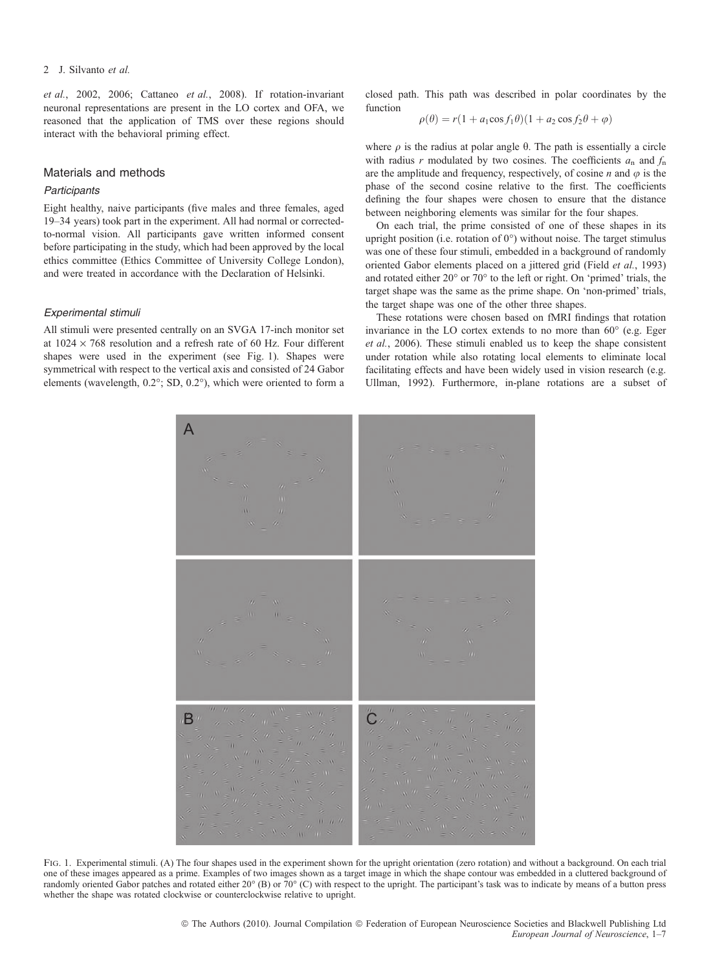## 2 J. Silvanto et al.

et al., 2002, 2006; Cattaneo et al., 2008). If rotation-invariant neuronal representations are present in the LO cortex and OFA, we reasoned that the application of TMS over these regions should interact with the behavioral priming effect.

# Materials and methods

## **Participants**

Eight healthy, naive participants (five males and three females, aged 19–34 years) took part in the experiment. All had normal or correctedto-normal vision. All participants gave written informed consent before participating in the study, which had been approved by the local ethics committee (Ethics Committee of University College London), and were treated in accordance with the Declaration of Helsinki.

#### Experimental stimuli

All stimuli were presented centrally on an SVGA 17-inch monitor set at  $1024 \times 768$  resolution and a refresh rate of 60 Hz. Four different shapes were used in the experiment (see Fig. 1). Shapes were symmetrical with respect to the vertical axis and consisted of 24 Gabor elements (wavelength,  $0.2^{\circ}$ ; SD,  $0.2^{\circ}$ ), which were oriented to form a

closed path. This path was described in polar coordinates by the function

$$
\rho(\theta) = r(1 + a_1 \cos f_1 \theta)(1 + a_2 \cos f_2 \theta + \varphi)
$$

where  $\rho$  is the radius at polar angle  $\theta$ . The path is essentially a circle with radius r modulated by two cosines. The coefficients  $a_n$  and  $f_n$ are the amplitude and frequency, respectively, of cosine  $n$  and  $\varphi$  is the phase of the second cosine relative to the first. The coefficients defining the four shapes were chosen to ensure that the distance between neighboring elements was similar for the four shapes.

On each trial, the prime consisted of one of these shapes in its upright position (i.e. rotation of  $0^{\circ}$ ) without noise. The target stimulus was one of these four stimuli, embedded in a background of randomly oriented Gabor elements placed on a jittered grid (Field et al., 1993) and rotated either  $20^{\circ}$  or  $70^{\circ}$  to the left or right. On 'primed' trials, the target shape was the same as the prime shape. On 'non-primed' trials, the target shape was one of the other three shapes.

These rotations were chosen based on fMRI findings that rotation invariance in the LO cortex extends to no more than  $60^\circ$  (e.g. Eger et al., 2006). These stimuli enabled us to keep the shape consistent under rotation while also rotating local elements to eliminate local facilitating effects and have been widely used in vision research (e.g. Ullman, 1992). Furthermore, in-plane rotations are a subset of



FIG. 1. Experimental stimuli. (A) The four shapes used in the experiment shown for the upright orientation (zero rotation) and without a background. On each trial one of these images appeared as a prime. Examples of two images shown as a target image in which the shape contour was embedded in a cluttered background of randomly oriented Gabor patches and rotated either  $20^{\circ}$  (B) or 70 $^{\circ}$  (C) with respect to the upright. The participant's task was to indicate by means of a button press whether the shape was rotated clockwise or counterclockwise relative to upright.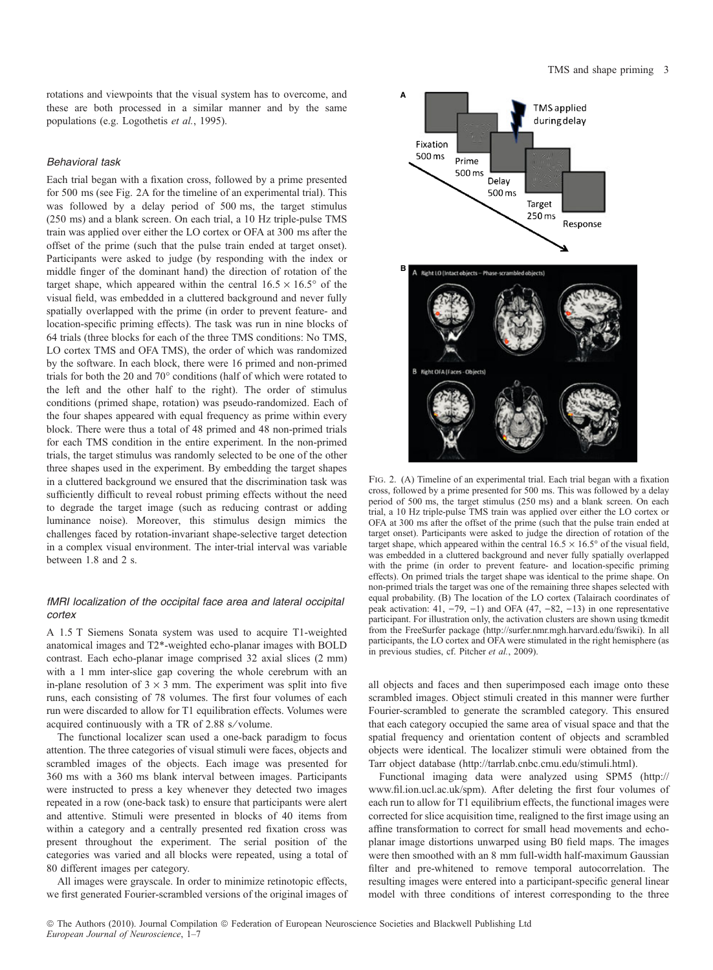rotations and viewpoints that the visual system has to overcome, and these are both processed in a similar manner and by the same populations (e.g. Logothetis et al., 1995).

## Behavioral task

Each trial began with a fixation cross, followed by a prime presented for 500 ms (see Fig. 2A for the timeline of an experimental trial). This was followed by a delay period of 500 ms, the target stimulus (250 ms) and a blank screen. On each trial, a 10 Hz triple-pulse TMS train was applied over either the LO cortex or OFA at 300 ms after the offset of the prime (such that the pulse train ended at target onset). Participants were asked to judge (by responding with the index or middle finger of the dominant hand) the direction of rotation of the target shape, which appeared within the central  $16.5 \times 16.5^{\circ}$  of the visual field, was embedded in a cluttered background and never fully spatially overlapped with the prime (in order to prevent feature- and location-specific priming effects). The task was run in nine blocks of 64 trials (three blocks for each of the three TMS conditions: No TMS, LO cortex TMS and OFA TMS), the order of which was randomized by the software. In each block, there were 16 primed and non-primed trials for both the 20 and  $70^{\circ}$  conditions (half of which were rotated to the left and the other half to the right). The order of stimulus conditions (primed shape, rotation) was pseudo-randomized. Each of the four shapes appeared with equal frequency as prime within every block. There were thus a total of 48 primed and 48 non-primed trials for each TMS condition in the entire experiment. In the non-primed trials, the target stimulus was randomly selected to be one of the other three shapes used in the experiment. By embedding the target shapes in a cluttered background we ensured that the discrimination task was sufficiently difficult to reveal robust priming effects without the need to degrade the target image (such as reducing contrast or adding luminance noise). Moreover, this stimulus design mimics the challenges faced by rotation-invariant shape-selective target detection in a complex visual environment. The inter-trial interval was variable between 1.8 and 2 s.

# fMRI localization of the occipital face area and lateral occipital cortex

A 1.5 T Siemens Sonata system was used to acquire T1-weighted anatomical images and T2\*-weighted echo-planar images with BOLD contrast. Each echo-planar image comprised 32 axial slices (2 mm) with a 1 mm inter-slice gap covering the whole cerebrum with an in-plane resolution of  $3 \times 3$  mm. The experiment was split into five runs, each consisting of 78 volumes. The first four volumes of each run were discarded to allow for T1 equilibration effects. Volumes were acquired continuously with a TR of 2.88 s⁄ volume.

The functional localizer scan used a one-back paradigm to focus attention. The three categories of visual stimuli were faces, objects and scrambled images of the objects. Each image was presented for 360 ms with a 360 ms blank interval between images. Participants were instructed to press a key whenever they detected two images repeated in a row (one-back task) to ensure that participants were alert and attentive. Stimuli were presented in blocks of 40 items from within a category and a centrally presented red fixation cross was present throughout the experiment. The serial position of the categories was varied and all blocks were repeated, using a total of 80 different images per category.

All images were grayscale. In order to minimize retinotopic effects, we first generated Fourier-scrambled versions of the original images of



Fig. 2. (A) Timeline of an experimental trial. Each trial began with a fixation cross, followed by a prime presented for 500 ms. This was followed by a delay period of 500 ms, the target stimulus (250 ms) and a blank screen. On each trial, a 10 Hz triple-pulse TMS train was applied over either the LO cortex or OFA at 300 ms after the offset of the prime (such that the pulse train ended at target onset). Participants were asked to judge the direction of rotation of the target shape, which appeared within the central  $16.5 \times 16.5^{\circ}$  of the visual field, was embedded in a cluttered background and never fully spatially overlapped with the prime (in order to prevent feature- and location-specific priming effects). On primed trials the target shape was identical to the prime shape. On non-primed trials the target was one of the remaining three shapes selected with equal probability. (B) The location of the LO cortex (Talairach coordinates of peak activation: 41,  $-79$ ,  $-1$ ) and OFA (47,  $-82$ ,  $-13$ ) in one representative participant. For illustration only, the activation clusters are shown using tkmedit from the FreeSurfer package (http://surfer.nmr.mgh.harvard.edu/fswiki). In all participants, the LO cortex and OFA were stimulated in the right hemisphere (as in previous studies, cf. Pitcher et al., 2009).

all objects and faces and then superimposed each image onto these scrambled images. Object stimuli created in this manner were further Fourier-scrambled to generate the scrambled category. This ensured that each category occupied the same area of visual space and that the spatial frequency and orientation content of objects and scrambled objects were identical. The localizer stimuli were obtained from the Tarr object database (http://tarrlab.cnbc.cmu.edu/stimuli.html).

Functional imaging data were analyzed using SPM5 (http:// www.fil.ion.ucl.ac.uk/spm). After deleting the first four volumes of each run to allow for T1 equilibrium effects, the functional images were corrected for slice acquisition time, realigned to the first image using an affine transformation to correct for small head movements and echoplanar image distortions unwarped using B0 field maps. The images were then smoothed with an 8 mm full-width half-maximum Gaussian filter and pre-whitened to remove temporal autocorrelation. The resulting images were entered into a participant-specific general linear model with three conditions of interest corresponding to the three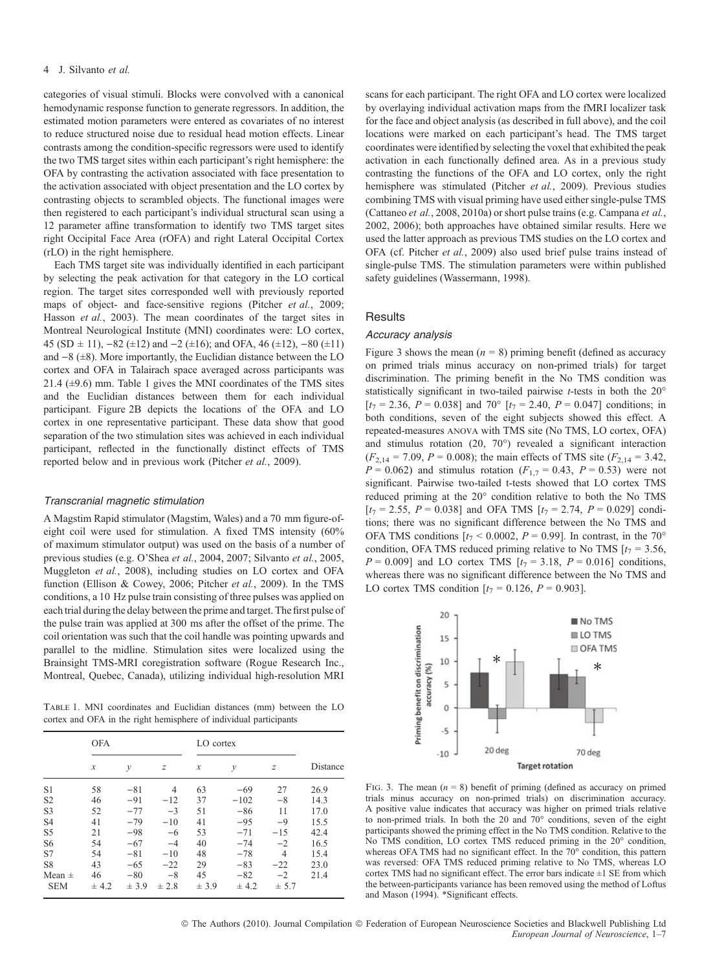categories of visual stimuli. Blocks were convolved with a canonical hemodynamic response function to generate regressors. In addition, the estimated motion parameters were entered as covariates of no interest to reduce structured noise due to residual head motion effects. Linear contrasts among the condition-specific regressors were used to identify the two TMS target sites within each participant's right hemisphere: the OFA by contrasting the activation associated with face presentation to the activation associated with object presentation and the LO cortex by contrasting objects to scrambled objects. The functional images were then registered to each participant's individual structural scan using a 12 parameter affine transformation to identify two TMS target sites right Occipital Face Area (rOFA) and right Lateral Occipital Cortex (rLO) in the right hemisphere.

Each TMS target site was individually identified in each participant by selecting the peak activation for that category in the LO cortical region. The target sites corresponded well with previously reported maps of object- and face-sensitive regions (Pitcher et al., 2009; Hasson et al., 2003). The mean coordinates of the target sites in Montreal Neurological Institute (MNI) coordinates were: LO cortex, 45 (SD  $\pm$  11), -82 ( $\pm$ 12) and -2 ( $\pm$ 16); and OFA, 46 ( $\pm$ 12), -80 ( $\pm$ 11) and  $-8$  ( $\pm 8$ ). More importantly, the Euclidian distance between the LO cortex and OFA in Talairach space averaged across participants was 21.4 (±9.6) mm. Table 1 gives the MNI coordinates of the TMS sites and the Euclidian distances between them for each individual participant. Figure 2B depicts the locations of the OFA and LO cortex in one representative participant. These data show that good separation of the two stimulation sites was achieved in each individual participant, reflected in the functionally distinct effects of TMS reported below and in previous work (Pitcher et al., 2009).

#### Transcranial magnetic stimulation

A Magstim Rapid stimulator (Magstim, Wales) and a 70 mm figure-ofeight coil were used for stimulation. A fixed TMS intensity (60% of maximum stimulator output) was used on the basis of a number of previous studies (e.g. O'Shea et al., 2004, 2007; Silvanto et al., 2005, Muggleton et al., 2008), including studies on LO cortex and OFA function (Ellison & Cowey, 2006; Pitcher et al., 2009). In the TMS conditions, a 10 Hz pulse train consisting of three pulses was applied on each trial during the delay between the prime and target. The first pulse of the pulse train was applied at 300 ms after the offset of the prime. The coil orientation was such that the coil handle was pointing upwards and parallel to the midline. Stimulation sites were localized using the Brainsight TMS-MRI coregistration software (Rogue Research Inc., Montreal, Quebec, Canada), utilizing individual high-resolution MRI

Table 1. MNI coordinates and Euclidian distances (mm) between the LO cortex and OFA in the right hemisphere of individual participants

|                | <b>OFA</b>                 |       |       | LO cortex           |              |                |          |
|----------------|----------------------------|-------|-------|---------------------|--------------|----------------|----------|
|                | $\boldsymbol{\mathcal{X}}$ | у     | z     | $\boldsymbol{\chi}$ | $\mathcal V$ | z              | Distance |
| S <sub>1</sub> | 58                         | $-81$ | 4     | 63                  | $-69$        | 27             | 26.9     |
| S <sub>2</sub> | 46                         | $-91$ | $-12$ | 37                  | $-102$       | $-8$           | 14.3     |
| S <sub>3</sub> | 52                         | $-77$ | $-3$  | 51                  | $-86$        | 11             | 17.0     |
| S <sub>4</sub> | 41                         | $-79$ | $-10$ | 41                  | $-95$        | $-9$           | 15.5     |
| S <sub>5</sub> | 21                         | $-98$ | $-6$  | 53                  | $-71$        | $-15$          | 42.4     |
| S <sub>6</sub> | 54                         | $-67$ | $-4$  | 40                  | $-74$        | $-2$           | 16.5     |
| S7             | 54                         | $-81$ | $-10$ | 48                  | $-78$        | $\overline{4}$ | 15.4     |
| S8             | 43                         | $-65$ | $-22$ | 29                  | $-83$        | $-22$          | 23.0     |
| Mean $\pm$     | 46                         | $-80$ | $-8$  | 45                  | $-82$        | $-2$           | 21.4     |
| <b>SEM</b>     | ± 4.2                      | ± 3.9 | ± 2.8 | ± 3.9               | ± 4.2        | ± 5.7          |          |

scans for each participant. The right OFA and LO cortex were localized by overlaying individual activation maps from the fMRI localizer task for the face and object analysis (as described in full above), and the coil locations were marked on each participant's head. The TMS target coordinates were identified by selecting the voxel that exhibited the peak activation in each functionally defined area. As in a previous study contrasting the functions of the OFA and LO cortex, only the right hemisphere was stimulated (Pitcher et al., 2009). Previous studies combining TMS with visual priming have used either single-pulse TMS (Cattaneo et al., 2008, 2010a) or short pulse trains (e.g. Campana et al., 2002, 2006); both approaches have obtained similar results. Here we used the latter approach as previous TMS studies on the LO cortex and OFA (cf. Pitcher et al., 2009) also used brief pulse trains instead of single-pulse TMS. The stimulation parameters were within published safety guidelines (Wassermann, 1998).

# **Results**

## Accuracy analysis

Figure 3 shows the mean  $(n = 8)$  priming benefit (defined as accuracy on primed trials minus accuracy on non-primed trials) for target discrimination. The priming benefit in the No TMS condition was statistically significant in two-tailed pairwise  $t$ -tests in both the  $20^\circ$  $[t_7 = 2.36, P = 0.038]$  and  $70^{\circ}$   $[t_7 = 2.40, P = 0.047]$  conditions; in both conditions, seven of the eight subjects showed this effect. A repeated-measures anova with TMS site (No TMS, LO cortex, OFA) and stimulus rotation  $(20, 70^{\circ})$  revealed a significant interaction  $(F_{2,14} = 7.09, P = 0.008)$ ; the main effects of TMS site  $(F_{2,14} = 3.42,$  $P = 0.062$ ) and stimulus rotation  $(F_{1,7} = 0.43, P = 0.53)$  were not significant. Pairwise two-tailed t-tests showed that LO cortex TMS reduced priming at the 20° condition relative to both the No TMS  $[t_7 = 2.55, P = 0.038]$  and OFA TMS  $[t_7 = 2.74, P = 0.029]$  conditions; there was no significant difference between the No TMS and OFA TMS conditions  $[t_7 < 0.0002, P = 0.99]$ . In contrast, in the 70<sup>o</sup> condition, OFA TMS reduced priming relative to No TMS  $[t_7 = 3.56,$  $P = 0.009$ ] and LO cortex TMS  $[t_7 = 3.18, P = 0.016]$  conditions, whereas there was no significant difference between the No TMS and LO cortex TMS condition  $[t_7 = 0.126, P = 0.903]$ .



FIG. 3. The mean  $(n = 8)$  benefit of priming (defined as accuracy on primed trials minus accuracy on non-primed trials) on discrimination accuracy. A positive value indicates that accuracy was higher on primed trials relative to non-primed trials. In both the  $20$  and  $70^{\circ}$  conditions, seven of the eight participants showed the priming effect in the No TMS condition. Relative to the No TMS condition, LO cortex TMS reduced priming in the 20° condition, whereas OFA TMS had no significant effect. In the  $70^{\circ}$  condition, this pattern was reversed: OFA TMS reduced priming relative to No TMS, whereas LO cortex TMS had no significant effect. The error bars indicate  $\pm 1$  SE from which the between-participants variance has been removed using the method of Loftus and Mason (1994). \*Significant effects.

© The Authors (2010). Journal Compilation © Federation of European Neuroscience Societies and Blackwell Publishing Ltd European Journal of Neuroscience, 1–7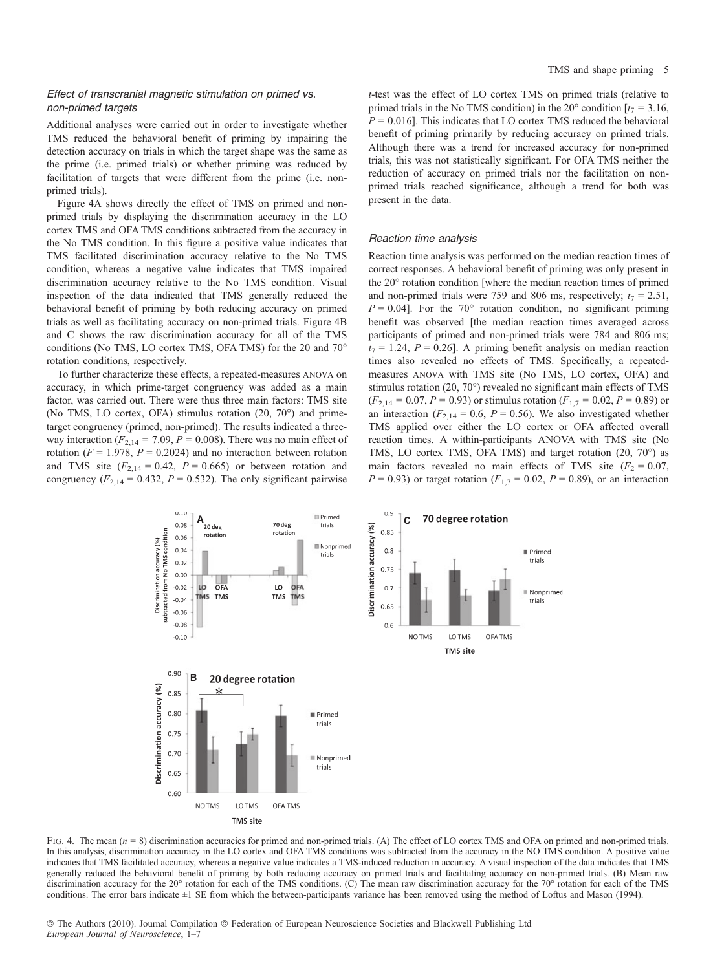## Effect of transcranial magnetic stimulation on primed vs. non-primed targets

Additional analyses were carried out in order to investigate whether TMS reduced the behavioral benefit of priming by impairing the detection accuracy on trials in which the target shape was the same as the prime (i.e. primed trials) or whether priming was reduced by facilitation of targets that were different from the prime (i.e. nonprimed trials).

Figure 4A shows directly the effect of TMS on primed and nonprimed trials by displaying the discrimination accuracy in the LO cortex TMS and OFA TMS conditions subtracted from the accuracy in the No TMS condition. In this figure a positive value indicates that TMS facilitated discrimination accuracy relative to the No TMS condition, whereas a negative value indicates that TMS impaired discrimination accuracy relative to the No TMS condition. Visual inspection of the data indicated that TMS generally reduced the behavioral benefit of priming by both reducing accuracy on primed trials as well as facilitating accuracy on non-primed trials. Figure 4B and C shows the raw discrimination accuracy for all of the TMS conditions (No TMS, LO cortex TMS, OFA TMS) for the 20 and 70 rotation conditions, respectively.

To further characterize these effects, a repeated-measures anova on accuracy, in which prime-target congruency was added as a main factor, was carried out. There were thus three main factors: TMS site (No TMS, LO cortex, OFA) stimulus rotation  $(20, 70^{\circ})$  and primetarget congruency (primed, non-primed). The results indicated a threeway interaction ( $F_{2,14} = 7.09$ ,  $P = 0.008$ ). There was no main effect of rotation ( $F = 1.978$ ,  $P = 0.2024$ ) and no interaction between rotation and TMS site  $(F_{2,14} = 0.42, P = 0.665)$  or between rotation and congruency ( $F_{2,14} = 0.432$ ,  $P = 0.532$ ). The only significant pairwise

t-test was the effect of LO cortex TMS on primed trials (relative to primed trials in the No TMS condition) in the 20 $^{\circ}$  condition [ $t_7 = 3.16$ ,  $P = 0.016$ ]. This indicates that LO cortex TMS reduced the behavioral benefit of priming primarily by reducing accuracy on primed trials. Although there was a trend for increased accuracy for non-primed trials, this was not statistically significant. For OFA TMS neither the reduction of accuracy on primed trials nor the facilitation on nonprimed trials reached significance, although a trend for both was present in the data.

#### Reaction time analysis

Reaction time analysis was performed on the median reaction times of correct responses. A behavioral benefit of priming was only present in the 20° rotation condition [where the median reaction times of primed and non-primed trials were 759 and 806 ms, respectively;  $t_7 = 2.51$ ,  $P = 0.04$ ]. For the 70° rotation condition, no significant priming benefit was observed [the median reaction times averaged across participants of primed and non-primed trials were 784 and 806 ms;  $t_7 = 1.24$ ,  $P = 0.26$ . A priming benefit analysis on median reaction times also revealed no effects of TMS. Specifically, a repeatedmeasures anova with TMS site (No TMS, LO cortex, OFA) and stimulus rotation  $(20, 70^{\circ})$  revealed no significant main effects of TMS  $(F_{2,14} = 0.07, P = 0.93)$  or stimulus rotation  $(F_{1,7} = 0.02, P = 0.89)$  or an interaction ( $F_{2,14} = 0.6$ ,  $P = 0.56$ ). We also investigated whether TMS applied over either the LO cortex or OFA affected overall reaction times. A within-participants ANOVA with TMS site (No TMS, LO cortex TMS, OFA TMS) and target rotation  $(20, 70^{\circ})$  as main factors revealed no main effects of TMS site ( $F_2 = 0.07$ ,  $P = 0.93$ ) or target rotation ( $F_{1,7} = 0.02$ ,  $P = 0.89$ ), or an interaction



FIG. 4. The mean  $(n = 8)$  discrimination accuracies for primed and non-primed trials. (A) The effect of LO cortex TMS and OFA on primed and non-primed trials. In this analysis, discrimination accuracy in the LO cortex and OFA TMS conditions was subtracted from the accuracy in the NO TMS condition. A positive value indicates that TMS facilitated accuracy, whereas a negative value indicates a TMS-induced reduction in accuracy. A visual inspection of the data indicates that TMS generally reduced the behavioral benefit of priming by both reducing accuracy on primed trials and facilitating accuracy on non-primed trials. (B) Mean raw discrimination accuracy for the  $20^{\circ}$  rotation for each of the TMS conditions. (C) The mean raw discrimination accuracy for the  $70^{\circ}$  rotation for each of the TMS conditions. The error bars indicate  $\pm 1$  SE from which the between-participants variance has been removed using the method of Loftus and Mason (1994).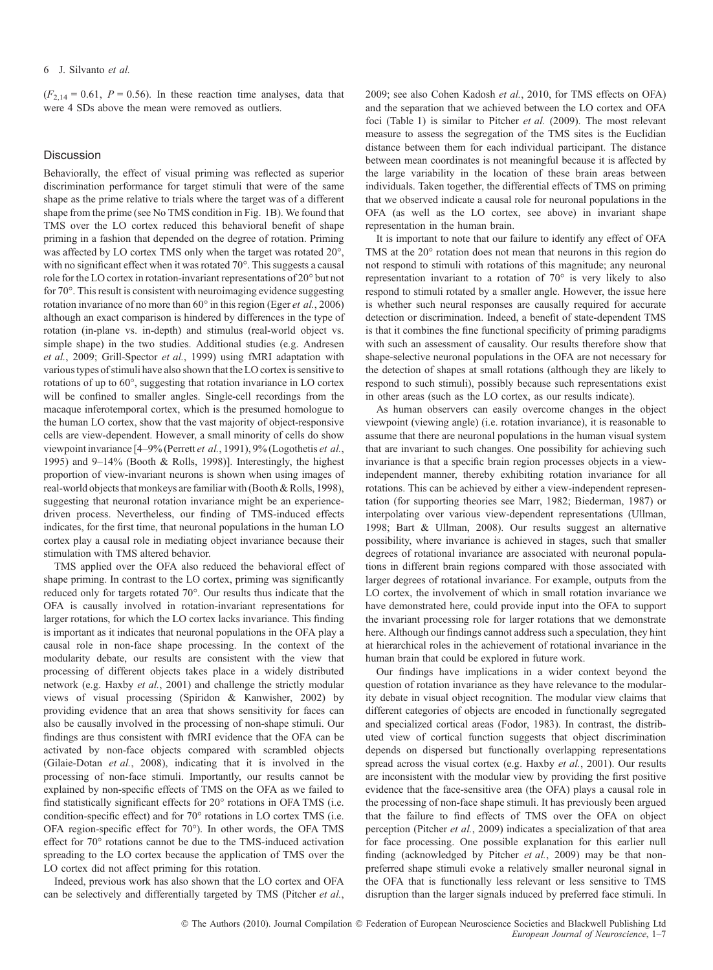$(F_{2,14} = 0.61, P = 0.56)$ . In these reaction time analyses, data that were 4 SDs above the mean were removed as outliers.

## Discussion

Behaviorally, the effect of visual priming was reflected as superior discrimination performance for target stimuli that were of the same shape as the prime relative to trials where the target was of a different shape from the prime (see No TMS condition in Fig. 1B). We found that TMS over the LO cortex reduced this behavioral benefit of shape priming in a fashion that depended on the degree of rotation. Priming was affected by LO cortex TMS only when the target was rotated  $20^{\circ}$ , with no significant effect when it was rotated 70°. This suggests a causal role for the LO cortex in rotation-invariant representations of  $20^{\circ}$  but not for 70°. This result is consistent with neuroimaging evidence suggesting rotation invariance of no more than  $60^{\circ}$  in this region (Eger *et al.*, 2006) although an exact comparison is hindered by differences in the type of rotation (in-plane vs. in-depth) and stimulus (real-world object vs. simple shape) in the two studies. Additional studies (e.g. Andresen et al., 2009; Grill-Spector et al., 1999) using fMRI adaptation with various types of stimuli have also shown that the LO cortex is sensitive to rotations of up to 60°, suggesting that rotation invariance in LO cortex will be confined to smaller angles. Single-cell recordings from the macaque inferotemporal cortex, which is the presumed homologue to the human LO cortex, show that the vast majority of object-responsive cells are view-dependent. However, a small minority of cells do show viewpoint invariance [4–9% (Perrett et al., 1991), 9% (Logothetis et al., 1995) and 9–14% (Booth & Rolls, 1998)]. Interestingly, the highest proportion of view-invariant neurons is shown when using images of real-world objects that monkeys are familiar with (Booth & Rolls, 1998), suggesting that neuronal rotation invariance might be an experiencedriven process. Nevertheless, our finding of TMS-induced effects indicates, for the first time, that neuronal populations in the human LO cortex play a causal role in mediating object invariance because their stimulation with TMS altered behavior.

TMS applied over the OFA also reduced the behavioral effect of shape priming. In contrast to the LO cortex, priming was significantly reduced only for targets rotated 70°. Our results thus indicate that the OFA is causally involved in rotation-invariant representations for larger rotations, for which the LO cortex lacks invariance. This finding is important as it indicates that neuronal populations in the OFA play a causal role in non-face shape processing. In the context of the modularity debate, our results are consistent with the view that processing of different objects takes place in a widely distributed network (e.g. Haxby et al., 2001) and challenge the strictly modular views of visual processing (Spiridon & Kanwisher, 2002) by providing evidence that an area that shows sensitivity for faces can also be causally involved in the processing of non-shape stimuli. Our findings are thus consistent with fMRI evidence that the OFA can be activated by non-face objects compared with scrambled objects (Gilaie-Dotan et al., 2008), indicating that it is involved in the processing of non-face stimuli. Importantly, our results cannot be explained by non-specific effects of TMS on the OFA as we failed to find statistically significant effects for  $20^{\circ}$  rotations in OFA TMS (i.e. condition-specific effect) and for 70° rotations in LO cortex TMS (i.e. OFA region-specific effect for  $70^{\circ}$ ). In other words, the OFA TMS effect for 70° rotations cannot be due to the TMS-induced activation spreading to the LO cortex because the application of TMS over the LO cortex did not affect priming for this rotation.

Indeed, previous work has also shown that the LO cortex and OFA can be selectively and differentially targeted by TMS (Pitcher et al., 2009; see also Cohen Kadosh et al., 2010, for TMS effects on OFA) and the separation that we achieved between the LO cortex and OFA foci (Table 1) is similar to Pitcher et al. (2009). The most relevant measure to assess the segregation of the TMS sites is the Euclidian distance between them for each individual participant. The distance between mean coordinates is not meaningful because it is affected by the large variability in the location of these brain areas between individuals. Taken together, the differential effects of TMS on priming that we observed indicate a causal role for neuronal populations in the OFA (as well as the LO cortex, see above) in invariant shape representation in the human brain.

It is important to note that our failure to identify any effect of OFA TMS at the  $20^{\circ}$  rotation does not mean that neurons in this region do not respond to stimuli with rotations of this magnitude; any neuronal representation invariant to a rotation of  $70^{\circ}$  is very likely to also respond to stimuli rotated by a smaller angle. However, the issue here is whether such neural responses are causally required for accurate detection or discrimination. Indeed, a benefit of state-dependent TMS is that it combines the fine functional specificity of priming paradigms with such an assessment of causality. Our results therefore show that shape-selective neuronal populations in the OFA are not necessary for the detection of shapes at small rotations (although they are likely to respond to such stimuli), possibly because such representations exist in other areas (such as the LO cortex, as our results indicate).

As human observers can easily overcome changes in the object viewpoint (viewing angle) (i.e. rotation invariance), it is reasonable to assume that there are neuronal populations in the human visual system that are invariant to such changes. One possibility for achieving such invariance is that a specific brain region processes objects in a viewindependent manner, thereby exhibiting rotation invariance for all rotations. This can be achieved by either a view-independent representation (for supporting theories see Marr, 1982; Biederman, 1987) or interpolating over various view-dependent representations (Ullman, 1998; Bart & Ullman, 2008). Our results suggest an alternative possibility, where invariance is achieved in stages, such that smaller degrees of rotational invariance are associated with neuronal populations in different brain regions compared with those associated with larger degrees of rotational invariance. For example, outputs from the LO cortex, the involvement of which in small rotation invariance we have demonstrated here, could provide input into the OFA to support the invariant processing role for larger rotations that we demonstrate here. Although our findings cannot address such a speculation, they hint at hierarchical roles in the achievement of rotational invariance in the human brain that could be explored in future work.

Our findings have implications in a wider context beyond the question of rotation invariance as they have relevance to the modularity debate in visual object recognition. The modular view claims that different categories of objects are encoded in functionally segregated and specialized cortical areas (Fodor, 1983). In contrast, the distributed view of cortical function suggests that object discrimination depends on dispersed but functionally overlapping representations spread across the visual cortex (e.g. Haxby et al., 2001). Our results are inconsistent with the modular view by providing the first positive evidence that the face-sensitive area (the OFA) plays a causal role in the processing of non-face shape stimuli. It has previously been argued that the failure to find effects of TMS over the OFA on object perception (Pitcher et al., 2009) indicates a specialization of that area for face processing. One possible explanation for this earlier null finding (acknowledged by Pitcher et al., 2009) may be that nonpreferred shape stimuli evoke a relatively smaller neuronal signal in the OFA that is functionally less relevant or less sensitive to TMS disruption than the larger signals induced by preferred face stimuli. In